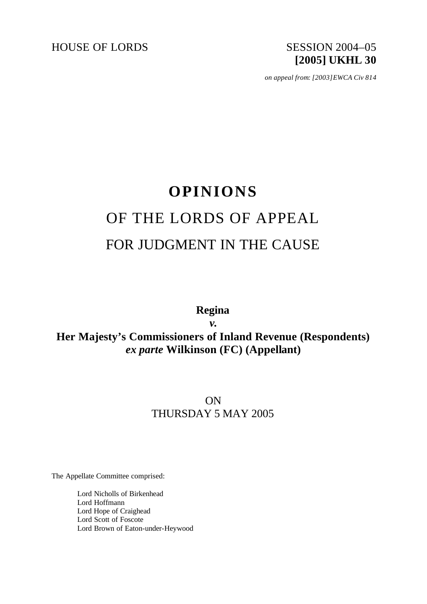

*on appeal from: [2003]EWCA Civ 814*

# **OPINIONS** OF THE LORDS OF APPEAL FOR JUDGMENT IN THE CAUSE

**Regina**

*v.*

**Her Majesty's Commissioners of Inland Revenue (Respondents)**  *ex parte* **Wilkinson (FC) (Appellant)**

# ON THURSDAY 5 MAY 2005

The Appellate Committee comprised:

Lord Nicholls of Birkenhead Lord Hoffmann Lord Hope of Craighead Lord Scott of Foscote Lord Brown of Eaton-under-Heywood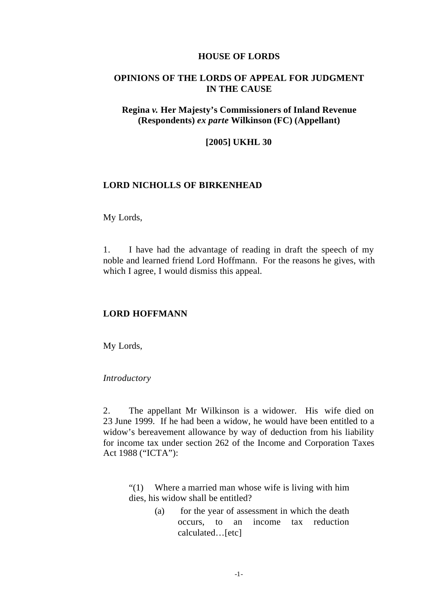#### **HOUSE OF LORDS**

# **OPINIONS OF THE LORDS OF APPEAL FOR JUDGMENT IN THE CAUSE**

# **Regina** *v.* **Her Majesty's Commissioners of Inland Revenue (Respondents)** *ex parte* **Wilkinson (FC) (Appellant)**

#### **[2005] UKHL 30**

#### **LORD NICHOLLS OF BIRKENHEAD**

#### My Lords,

1. I have had the advantage of reading in draft the speech of my noble and learned friend Lord Hoffmann. For the reasons he gives, with which I agree, I would dismiss this appeal.

#### **LORD HOFFMANN**

My Lords,

#### *Introductory*

2. The appellant Mr Wilkinson is a widower. His wife died on 23 June 1999. If he had been a widow, he would have been entitled to a widow's bereavement allowance by way of deduction from his liability for income tax under section 262 of the Income and Corporation Taxes Act 1988 ("ICTA"):

"(1) Where a married man whose wife is living with him dies, his widow shall be entitled?

> (a) for the year of assessment in which the death occurs, to an income tax reduction calculated…[etc]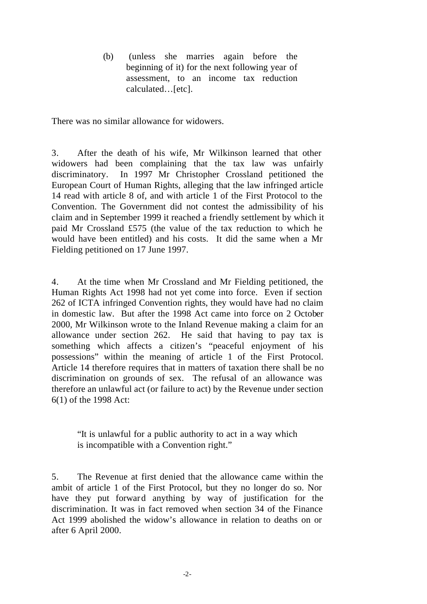(b) (unless she marries again before the beginning of it) for the next following year of assessment, to an income tax reduction calculated…[etc].

There was no similar allowance for widowers.

3. After the death of his wife, Mr Wilkinson learned that other widowers had been complaining that the tax law was unfairly discriminatory. In 1997 Mr Christopher Crossland petitioned the European Court of Human Rights, alleging that the law infringed article 14 read with article 8 of, and with article 1 of the First Protocol to the Convention. The Government did not contest the admissibility of his claim and in September 1999 it reached a friendly settlement by which it paid Mr Crossland £575 (the value of the tax reduction to which he would have been entitled) and his costs. It did the same when a Mr Fielding petitioned on 17 June 1997.

4. At the time when Mr Crossland and Mr Fielding petitioned, the Human Rights Act 1998 had not yet come into force. Even if section 262 of ICTA infringed Convention rights, they would have had no claim in domestic law. But after the 1998 Act came into force on 2 October 2000, Mr Wilkinson wrote to the Inland Revenue making a claim for an allowance under section 262. He said that having to pay tax is something which affects a citizen's "peaceful enjoyment of his possessions" within the meaning of article 1 of the First Protocol. Article 14 therefore requires that in matters of taxation there shall be no discrimination on grounds of sex. The refusal of an allowance was therefore an unlawful act (or failure to act) by the Revenue under section 6(1) of the 1998 Act:

"It is unlawful for a public authority to act in a way which is incompatible with a Convention right."

5. The Revenue at first denied that the allowance came within the ambit of article 1 of the First Protocol, but they no longer do so. Nor have they put forward anything by way of justification for the discrimination. It was in fact removed when section 34 of the Finance Act 1999 abolished the widow's allowance in relation to deaths on or after 6 April 2000.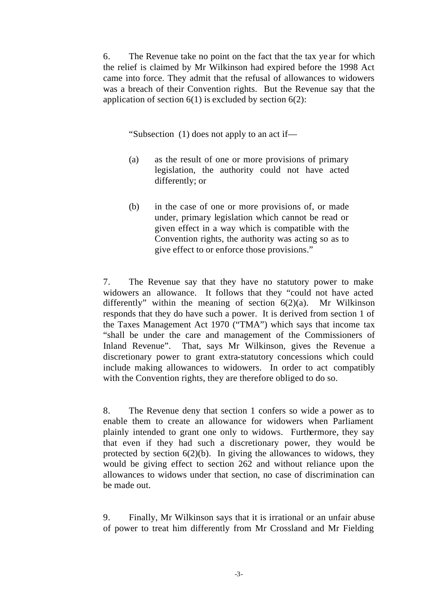6. The Revenue take no point on the fact that the tax ye ar for which the relief is claimed by Mr Wilkinson had expired before the 1998 Act came into force. They admit that the refusal of allowances to widowers was a breach of their Convention rights. But the Revenue say that the application of section  $6(1)$  is excluded by section  $6(2)$ :

"Subsection (1) does not apply to an act if—

- (a) as the result of one or more provisions of primary legislation, the authority could not have acted differently; or
- (b) in the case of one or more provisions of, or made under, primary legislation which cannot be read or given effect in a way which is compatible with the Convention rights, the authority was acting so as to give effect to or enforce those provisions."

7. The Revenue say that they have no statutory power to make widowers an allowance. It follows that they "could not have acted differently" within the meaning of section 6(2)(a). Mr Wilkinson responds that they do have such a power. It is derived from section 1 of the Taxes Management Act 1970 ("TMA") which says that income tax "shall be under the care and management of the Commissioners of Inland Revenue". That, says Mr Wilkinson, gives the Revenue a discretionary power to grant extra-statutory concessions which could include making allowances to widowers. In order to act compatibly with the Convention rights, they are therefore obliged to do so.

8. The Revenue deny that section 1 confers so wide a power as to enable them to create an allowance for widowers when Parliament plainly intended to grant one only to widows. Furthermore, they say that even if they had such a discretionary power, they would be protected by section  $6(2)(b)$ . In giving the allowances to widows, they would be giving effect to section 262 and without reliance upon the allowances to widows under that section, no case of discrimination can be made out.

9. Finally, Mr Wilkinson says that it is irrational or an unfair abuse of power to treat him differently from Mr Crossland and Mr Fielding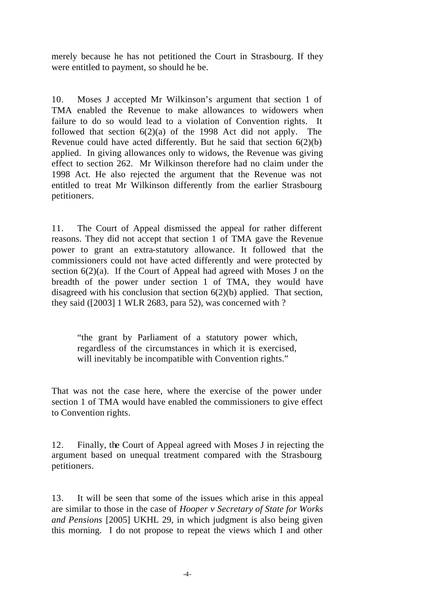merely because he has not petitioned the Court in Strasbourg. If they were entitled to payment, so should he be.

10. Moses J accepted Mr Wilkinson's argument that section 1 of TMA enabled the Revenue to make allowances to widowers when failure to do so would lead to a violation of Convention rights. It followed that section  $6(2)(a)$  of the 1998 Act did not apply. The Revenue could have acted differently. But he said that section  $6(2)(b)$ applied. In giving allowances only to widows, the Revenue was giving effect to section 262. Mr Wilkinson therefore had no claim under the 1998 Act. He also rejected the argument that the Revenue was not entitled to treat Mr Wilkinson differently from the earlier Strasbourg petitioners.

11. The Court of Appeal dismissed the appeal for rather different reasons. They did not accept that section 1 of TMA gave the Revenue power to grant an extra-statutory allowance. It followed that the commissioners could not have acted differently and were protected by section  $6(2)(a)$ . If the Court of Appeal had agreed with Moses J on the breadth of the power under section 1 of TMA, they would have disagreed with his conclusion that section 6(2)(b) applied. That section, they said ([2003] 1 WLR 2683, para 52), was concerned with ?

"the grant by Parliament of a statutory power which, regardless of the circumstances in which it is exercised, will inevitably be incompatible with Convention rights."

That was not the case here, where the exercise of the power under section 1 of TMA would have enabled the commissioners to give effect to Convention rights.

12. Finally, the Court of Appeal agreed with Moses J in rejecting the argument based on unequal treatment compared with the Strasbourg petitioners.

13. It will be seen that some of the issues which arise in this appeal are similar to those in the case of *Hooper v Secretary of State for Works and Pensions* [2005] UKHL 29, in which judgment is also being given this morning. I do not propose to repeat the views which I and other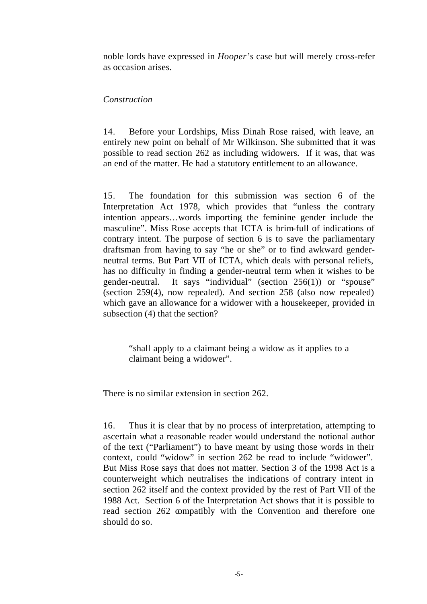noble lords have expressed in *Hooper's* case but will merely cross-refer as occasion arises.

#### *Construction*

14. Before your Lordships, Miss Dinah Rose raised, with leave, an entirely new point on behalf of Mr Wilkinson. She submitted that it was possible to read section 262 as including widowers. If it was, that was an end of the matter. He had a statutory entitlement to an allowance.

15. The foundation for this submission was section 6 of the Interpretation Act 1978, which provides that "unless the contrary intention appears…words importing the feminine gender include the masculine". Miss Rose accepts that ICTA is brim-full of indications of contrary intent. The purpose of section 6 is to save the parliamentary draftsman from having to say "he or she" or to find awkward genderneutral terms. But Part VII of ICTA, which deals with personal reliefs, has no difficulty in finding a gender-neutral term when it wishes to be gender-neutral. It says "individual" (section 256(1)) or "spouse" (section 259(4), now repealed). And section 258 (also now repealed) which gave an allowance for a widower with a housekeeper, provided in subsection (4) that the section?

"shall apply to a claimant being a widow as it applies to a claimant being a widower".

There is no similar extension in section 262.

16. Thus it is clear that by no process of interpretation, attempting to ascertain what a reasonable reader would understand the notional author of the text ("Parliament") to have meant by using those words in their context, could "widow" in section 262 be read to include "widower". But Miss Rose says that does not matter. Section 3 of the 1998 Act is a counterweight which neutralises the indications of contrary intent in section 262 itself and the context provided by the rest of Part VII of the 1988 Act. Section 6 of the Interpretation Act shows that it is possible to read section 262 compatibly with the Convention and therefore one should do so.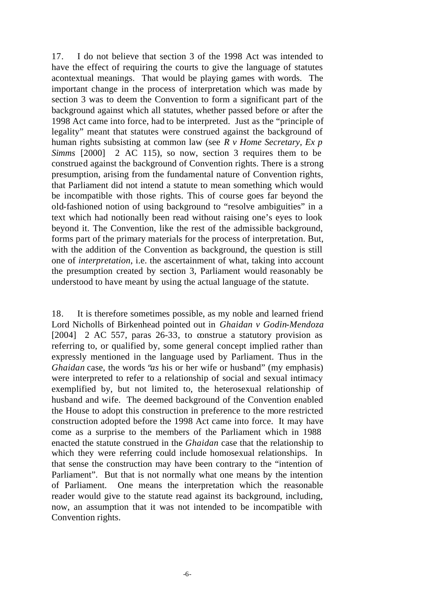17. I do not believe that section 3 of the 1998 Act was intended to have the effect of requiring the courts to give the language of statutes acontextual meanings. That would be playing games with words. The important change in the process of interpretation which was made by section 3 was to deem the Convention to form a significant part of the background against which all statutes, whether passed before or after the 1998 Act came into force, had to be interpreted. Just as the "principle of legality" meant that statutes were construed against the background of human rights subsisting at common law (see *R v Home Secretary, Ex p Simms* [2000] 2 AC 115), so now, section 3 requires them to be construed against the background of Convention rights. There is a strong presumption, arising from the fundamental nature of Convention rights, that Parliament did not intend a statute to mean something which would be incompatible with those rights. This of course goes far beyond the old-fashioned notion of using background to "resolve ambiguities" in a text which had notionally been read without raising one's eyes to look beyond it. The Convention, like the rest of the admissible background, forms part of the primary materials for the process of interpretation. But, with the addition of the Convention as background, the question is still one of *interpretation*, i.e. the ascertainment of what, taking into account the presumption created by section 3, Parliament would reasonably be understood to have meant by using the actual language of the statute.

18. It is therefore sometimes possible, as my noble and learned friend Lord Nicholls of Birkenhead pointed out in *Ghaidan v Godin-Mendoza*  $[2004]$  2 AC 557, paras 26-33, to construe a statutory provision as referring to, or qualified by, some general concept implied rather than expressly mentioned in the language used by Parliament. Thus in the *Ghaidan* case, the words "*as* his or her wife or husband" (my emphasis) were interpreted to refer to a relationship of social and sexual intimacy exemplified by, but not limited to, the heterosexual relationship of husband and wife. The deemed background of the Convention enabled the House to adopt this construction in preference to the more restricted construction adopted before the 1998 Act came into force. It may have come as a surprise to the members of the Parliament which in 1988 enacted the statute construed in the *Ghaidan* case that the relationship to which they were referring could include homosexual relationships. In that sense the construction may have been contrary to the "intention of Parliament". But that is not normally what one means by the intention of Parliament. One means the interpretation which the reasonable reader would give to the statute read against its background, including, now, an assumption that it was not intended to be incompatible with Convention rights.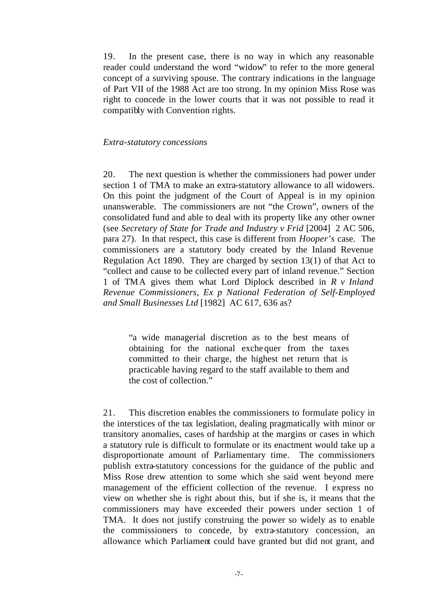19. In the present case, there is no way in which any reasonable reader could understand the word "widow" to refer to the more general concept of a surviving spouse. The contrary indications in the language of Part VII of the 1988 Act are too strong. In my opinion Miss Rose was right to concede in the lower courts that it was not possible to read it compatibly with Convention rights.

#### *Extra-statutory concessions*

20. The next question is whether the commissioners had power under section 1 of TMA to make an extra-statutory allowance to all widowers. On this point the judgment of the Court of Appeal is in my opinion unanswerable. The commissioners are not "the Crown", owners of the consolidated fund and able to deal with its property like any other owner (see *Secretary of State for Trade and Industry v Frid* [2004] 2 AC 506, para 27). In that respect, this case is different from *Hooper's* case. The commissioners are a statutory body created by the Inland Revenue Regulation Act 1890. They are charged by section 13(1) of that Act to "collect and cause to be collected every part of inland revenue." Section 1 of TMA gives them what Lord Diplock described in *R v Inland Revenue Commissioners, Ex p National Federation of Self-Employed and Small Businesses Ltd* [1982] AC 617, 636 as?

"a wide managerial discretion as to the best means of obtaining for the national exchequer from the taxes committed to their charge, the highest net return that is practicable having regard to the staff available to them and the cost of collection."

21. This discretion enables the commissioners to formulate policy in the interstices of the tax legislation, dealing pragmatically with minor or transitory anomalies, cases of hardship at the margins or cases in which a statutory rule is difficult to formulate or its enactment would take up a disproportionate amount of Parliamentary time. The commissioners publish extra-statutory concessions for the guidance of the public and Miss Rose drew attention to some which she said went beyond mere management of the efficient collection of the revenue. I express no view on whether she is right about this, but if she is, it means that the commissioners may have exceeded their powers under section 1 of TMA. It does not justify construing the power so widely as to enable the commissioners to concede, by extra-statutory concession, an allowance which Parliament could have granted but did not grant, and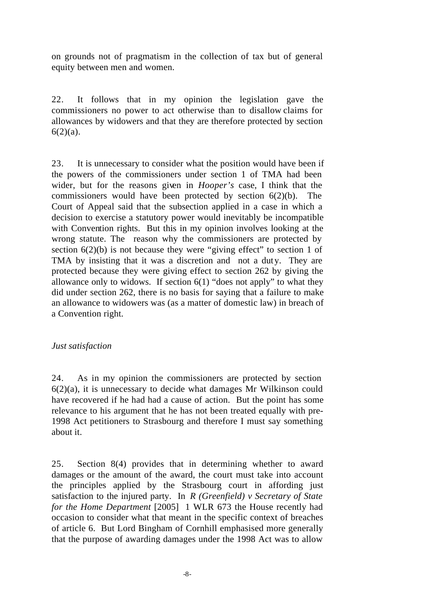on grounds not of pragmatism in the collection of tax but of general equity between men and women.

22. It follows that in my opinion the legislation gave the commissioners no power to act otherwise than to disallow claims for allowances by widowers and that they are therefore protected by section  $6(2)(a)$ .

23. It is unnecessary to consider what the position would have been if the powers of the commissioners under section 1 of TMA had been wider, but for the reasons given in *Hooper's* case, I think that the commissioners would have been protected by section 6(2)(b). The Court of Appeal said that the subsection applied in a case in which a decision to exercise a statutory power would inevitably be incompatible with Convention rights. But this in my opinion involves looking at the wrong statute. The reason why the commissioners are protected by section  $6(2)(b)$  is not because they were "giving effect" to section 1 of TMA by insisting that it was a discretion and not a duty. They are protected because they were giving effect to section 262 by giving the allowance only to widows. If section  $6(1)$  "does not apply" to what they did under section 262, there is no basis for saying that a failure to make an allowance to widowers was (as a matter of domestic law) in breach of a Convention right.

#### *Just satisfaction*

24. As in my opinion the commissioners are protected by section  $6(2)(a)$ , it is unnecessary to decide what damages Mr Wilkinson could have recovered if he had had a cause of action. But the point has some relevance to his argument that he has not been treated equally with pre-1998 Act petitioners to Strasbourg and therefore I must say something about it.

25. Section 8(4) provides that in determining whether to award damages or the amount of the award, the court must take into account the principles applied by the Strasbourg court in affording just satisfaction to the injured party. In *R (Greenfield) v Secretary of State for the Home Department* [2005] 1 WLR 673 the House recently had occasion to consider what that meant in the specific context of breaches of article 6. But Lord Bingham of Cornhill emphasised more generally that the purpose of awarding damages under the 1998 Act was to allow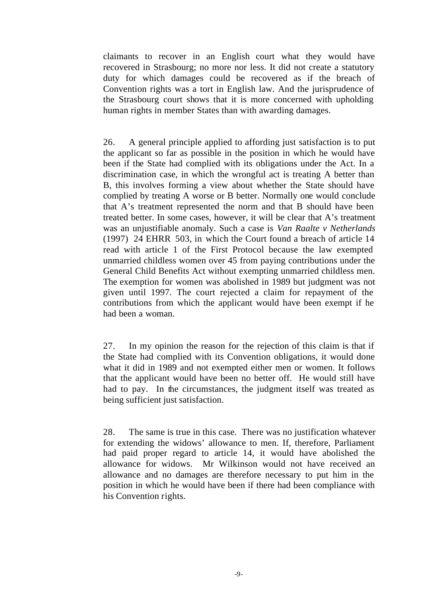claimants to recover in an English court what they would have recovered in Strasbourg; no more nor less. It did not create a statutory duty for which damages could be recovered as if the breach of Convention rights was a tort in English law. And the jurisprudence of the Strasbourg court shows that it is more concerned with upholding human rights in member States than with awarding damages.

26. A general principle applied to affording just satisfaction is to put the applicant so far as possible in the position in which he would have been if the State had complied with its obligations under the Act. In a discrimination case, in which the wrongful act is treating A better than B, this involves forming a view about whether the State should have complied by treating A worse or B better. Normally one would conclude that A's treatment represented the norm and that B should have been treated better. In some cases, however, it will be clear that A's treatment was an unjustifiable anomaly. Such a case is *Van Raalte v Netherlands* (1997) 24 EHRR 503, in which the Court found a breach of article 14 read with article 1 of the First Protocol because the law exempted unmarried childless women over 45 from paying contributions under the General Child Benefits Act without exempting unmarried childless men. The exemption for women was abolished in 1989 but judgment was not given until 1997. The court rejected a claim for repayment of the contributions from which the applicant would have been exempt if he had been a woman.

27. In my opinion the reason for the rejection of this claim is that if the State had complied with its Convention obligations, it would done what it did in 1989 and not exempted either men or women. It follows that the applicant would have been no better off. He would still have had to pay. In the circumstances, the judgment itself was treated as being sufficient just satisfaction.

28. The same is true in this case. There was no justification whatever for extending the widows' allowance to men. If, therefore, Parliament had paid proper regard to article 14, it would have abolished the allowance for widows. Mr Wilkinson would not have received an allowance and no damages are therefore necessary to put him in the position in which he would have been if there had been compliance with his Convention rights.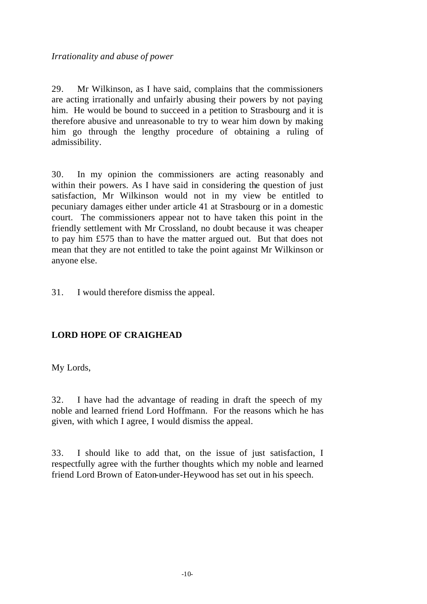*Irrationality and abuse of power*

29. Mr Wilkinson, as I have said, complains that the commissioners are acting irrationally and unfairly abusing their powers by not paying him. He would be bound to succeed in a petition to Strasbourg and it is therefore abusive and unreasonable to try to wear him down by making him go through the lengthy procedure of obtaining a ruling of admissibility.

30. In my opinion the commissioners are acting reasonably and within their powers. As I have said in considering the question of just satisfaction, Mr Wilkinson would not in my view be entitled to pecuniary damages either under article 41 at Strasbourg or in a domestic court. The commissioners appear not to have taken this point in the friendly settlement with Mr Crossland, no doubt because it was cheaper to pay him £575 than to have the matter argued out. But that does not mean that they are not entitled to take the point against Mr Wilkinson or anyone else.

31. I would therefore dismiss the appeal.

# **LORD HOPE OF CRAIGHEAD**

My Lords,

32. I have had the advantage of reading in draft the speech of my noble and learned friend Lord Hoffmann. For the reasons which he has given, with which I agree, I would dismiss the appeal.

33. I should like to add that, on the issue of just satisfaction, I respectfully agree with the further thoughts which my noble and learned friend Lord Brown of Eaton-under-Heywood has set out in his speech.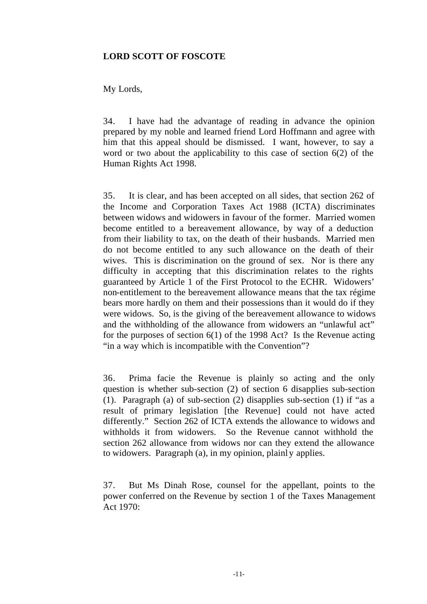# **LORD SCOTT OF FOSCOTE**

My Lords,

34. I have had the advantage of reading in advance the opinion prepared by my noble and learned friend Lord Hoffmann and agree with him that this appeal should be dismissed. I want, however, to say a word or two about the applicability to this case of section 6(2) of the Human Rights Act 1998.

35. It is clear, and has been accepted on all sides, that section 262 of the Income and Corporation Taxes Act 1988 (ICTA) discriminates between widows and widowers in favour of the former. Married women become entitled to a bereavement allowance, by way of a deduction from their liability to tax, on the death of their husbands. Married men do not become entitled to any such allowance on the death of their wives. This is discrimination on the ground of sex. Nor is there any difficulty in accepting that this discrimination relates to the rights guaranteed by Article 1 of the First Protocol to the ECHR. Widowers' non-entitlement to the bereavement allowance means that the tax régime bears more hardly on them and their possessions than it would do if they were widows. So, is the giving of the bereavement allowance to widows and the withholding of the allowance from widowers an "unlawful act" for the purposes of section 6(1) of the 1998 Act? Is the Revenue acting "in a way which is incompatible with the Convention"?

36. Prima facie the Revenue is plainly so acting and the only question is whether sub-section (2) of section 6 disapplies sub-section (1). Paragraph (a) of sub-section (2) disapplies sub-section (1) if "as a result of primary legislation [the Revenue] could not have acted differently." Section 262 of ICTA extends the allowance to widows and withholds it from widowers. So the Revenue cannot withhold the section 262 allowance from widows nor can they extend the allowance to widowers. Paragraph (a), in my opinion, plainl y applies.

37. But Ms Dinah Rose, counsel for the appellant, points to the power conferred on the Revenue by section 1 of the Taxes Management Act 1970: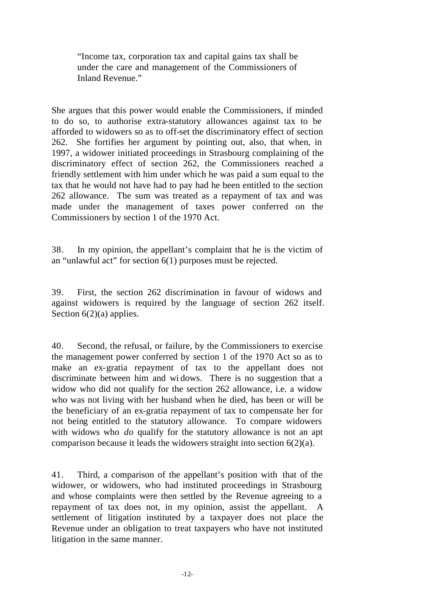"Income tax, corporation tax and capital gains tax shall be under the care and management of the Commissioners of Inland Revenue."

She argues that this power would enable the Commissioners, if minded to do so, to authorise extra-statutory allowances against tax to be afforded to widowers so as to off-set the discriminatory effect of section 262. She fortifies her argument by pointing out, also, that when, in 1997, a widower initiated proceedings in Strasbourg complaining of the discriminatory effect of section 262, the Commissioners reached a friendly settlement with him under which he was paid a sum equal to the tax that he would not have had to pay had he been entitled to the section 262 allowance. The sum was treated as a repayment of tax and was made under the management of taxes power conferred on the Commissioners by section 1 of the 1970 Act.

38. In my opinion, the appellant's complaint that he is the victim of an "unlawful act" for section 6(1) purposes must be rejected.

39. First, the section 262 discrimination in favour of widows and against widowers is required by the language of section 262 itself. Section  $6(2)(a)$  applies.

40. Second, the refusal, or failure, by the Commissioners to exercise the management power conferred by section 1 of the 1970 Act so as to make an ex-gratia repayment of tax to the appellant does not discriminate between him and wi dows. There is no suggestion that a widow who did not qualify for the section 262 allowance, i.e. a widow who was not living with her husband when he died, has been or will be the beneficiary of an ex-gratia repayment of tax to compensate her for not being entitled to the statutory allowance. To compare widowers with widows who *do* qualify for the statutory allowance is not an apt comparison because it leads the widowers straight into section 6(2)(a).

41. Third, a comparison of the appellant's position with that of the widower, or widowers, who had instituted proceedings in Strasbourg and whose complaints were then settled by the Revenue agreeing to a repayment of tax does not, in my opinion, assist the appellant. A settlement of litigation instituted by a taxpayer does not place the Revenue under an obligation to treat taxpayers who have not instituted litigation in the same manner.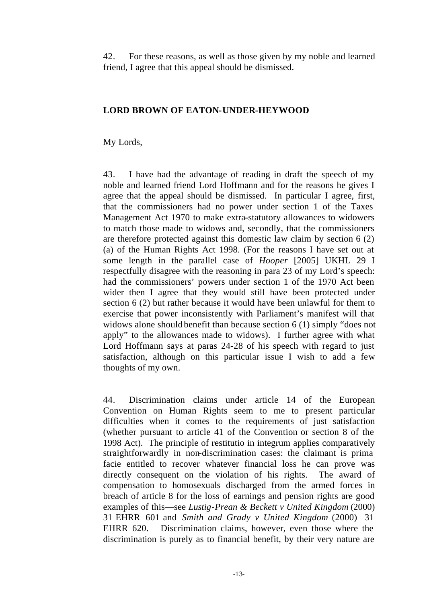42. For these reasons, as well as those given by my noble and learned friend, I agree that this appeal should be dismissed.

#### **LORD BROWN OF EATON-UNDER-HEYWOOD**

My Lords,

43. I have had the advantage of reading in draft the speech of my noble and learned friend Lord Hoffmann and for the reasons he gives I agree that the appeal should be dismissed. In particular I agree, first, that the commissioners had no power under section 1 of the Taxes Management Act 1970 to make extra-statutory allowances to widowers to match those made to widows and, secondly, that the commissioners are therefore protected against this domestic law claim by section 6 (2) (a) of the Human Rights Act 1998. (For the reasons I have set out at some length in the parallel case of *Hooper* [2005] UKHL 29 I respectfully disagree with the reasoning in para 23 of my Lord's speech: had the commissioners' powers under section 1 of the 1970 Act been wider then I agree that they would still have been protected under section 6 (2) but rather because it would have been unlawful for them to exercise that power inconsistently with Parliament's manifest will that widows alone should benefit than because section 6 (1) simply "does not apply" to the allowances made to widows). I further agree with what Lord Hoffmann says at paras 24-28 of his speech with regard to just satisfaction, although on this particular issue I wish to add a few thoughts of my own.

44. Discrimination claims under article 14 of the European Convention on Human Rights seem to me to present particular difficulties when it comes to the requirements of just satisfaction (whether pursuant to article 41 of the Convention or section 8 of the 1998 Act). The principle of restitutio in integrum applies comparatively straightforwardly in non-discrimination cases: the claimant is prima facie entitled to recover whatever financial loss he can prove was directly consequent on the violation of his rights. The award of compensation to homosexuals discharged from the armed forces in breach of article 8 for the loss of earnings and pension rights are good examples of this—see *Lustig-Prean & Beckett v United Kingdom* (2000) 31 EHRR 601 and *Smith and Grady v United Kingdom* (2000) 31 EHRR 620. Discrimination claims, however, even those where the discrimination is purely as to financial benefit, by their very nature are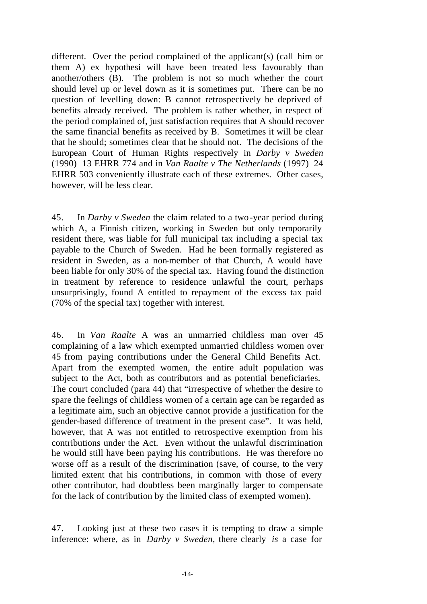different. Over the period complained of the applicant(s) (call him or them A) ex hypothesi will have been treated less favourably than another/others (B). The problem is not so much whether the court should level up or level down as it is sometimes put. There can be no question of levelling down: B cannot retrospectively be deprived of benefits already received. The problem is rather whether, in respect of the period complained of, just satisfaction requires that A should recover the same financial benefits as received by B. Sometimes it will be clear that he should; sometimes clear that he should not. The decisions of the European Court of Human Rights respectively in *Darby v Sweden* (1990) 13 EHRR 774 and in *Van Raalte v The Netherlands* (1997) 24 EHRR 503 conveniently illustrate each of these extremes. Other cases, however, will be less clear.

45. In *Darby v Sweden* the claim related to a two-year period during which A, a Finnish citizen, working in Sweden but only temporarily resident there, was liable for full municipal tax including a special tax payable to the Church of Sweden. Had he been formally registered as resident in Sweden, as a non-member of that Church, A would have been liable for only 30% of the special tax. Having found the distinction in treatment by reference to residence unlawful the court, perhaps unsurprisingly, found A entitled to repayment of the excess tax paid (70% of the special tax) together with interest.

46. In *Van Raalte* A was an unmarried childless man over 45 complaining of a law which exempted unmarried childless women over 45 from paying contributions under the General Child Benefits Act. Apart from the exempted women, the entire adult population was subject to the Act, both as contributors and as potential beneficiaries. The court concluded (para 44) that "irrespective of whether the desire to spare the feelings of childless women of a certain age can be regarded as a legitimate aim, such an objective cannot provide a justification for the gender-based difference of treatment in the present case". It was held, however, that A was not entitled to retrospective exemption from his contributions under the Act. Even without the unlawful discrimination he would still have been paying his contributions. He was therefore no worse off as a result of the discrimination (save, of course, to the very limited extent that his contributions, in common with those of every other contributor, had doubtless been marginally larger to compensate for the lack of contribution by the limited class of exempted women).

47. Looking just at these two cases it is tempting to draw a simple inference: where, as in *Darby v Sweden*, there clearly *is* a case for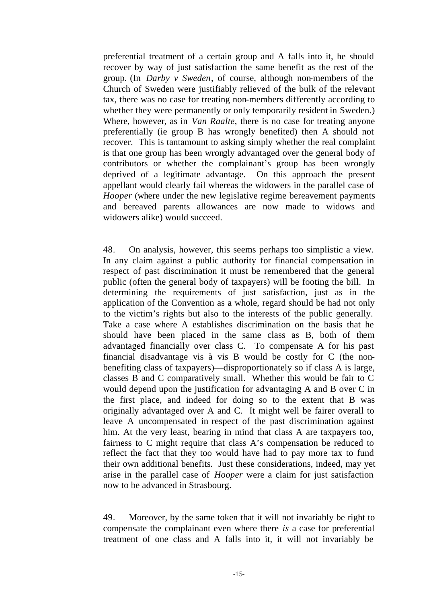preferential treatment of a certain group and A falls into it, he should recover by way of just satisfaction the same benefit as the rest of the group. (In *Darby v Sweden*, of course, although non-members of the Church of Sweden were justifiably relieved of the bulk of the relevant tax, there was no case for treating non-members differently according to whether they were permanently or only temporarily resident in Sweden.) Where, however, as in *Van Raalte*, there is no case for treating anyone preferentially (ie group B has wrongly benefited) then A should not recover. This is tantamount to asking simply whether the real complaint is that one group has been wrongly advantaged over the general body of contributors or whether the complainant's group has been wrongly deprived of a legitimate advantage. On this approach the present appellant would clearly fail whereas the widowers in the parallel case of *Hooper* (where under the new legislative regime bereavement payments and bereaved parents allowances are now made to widows and widowers alike) would succeed.

48. On analysis, however, this seems perhaps too simplistic a view. In any claim against a public authority for financial compensation in respect of past discrimination it must be remembered that the general public (often the general body of taxpayers) will be footing the bill. In determining the requirements of just satisfaction, just as in the application of the Convention as a whole, regard should be had not only to the victim's rights but also to the interests of the public generally. Take a case where A establishes discrimination on the basis that he should have been placed in the same class as B, both of them advantaged financially over class C. To compensate A for his past financial disadvantage vis à vis B would be costly for C (the nonbenefiting class of taxpayers)—disproportionately so if class A is large, classes B and C comparatively small. Whether this would be fair to C would depend upon the justification for advantaging A and B over C in the first place, and indeed for doing so to the extent that B was originally advantaged over A and C. It might well be fairer overall to leave A uncompensated in respect of the past discrimination against him. At the very least, bearing in mind that class A are taxpayers too, fairness to C might require that class A's compensation be reduced to reflect the fact that they too would have had to pay more tax to fund their own additional benefits. Just these considerations, indeed, may yet arise in the parallel case of *Hooper* were a claim for just satisfaction now to be advanced in Strasbourg.

49. Moreover, by the same token that it will not invariably be right to compensate the complainant even where there *is* a case for preferential treatment of one class and A falls into it, it will not invariably be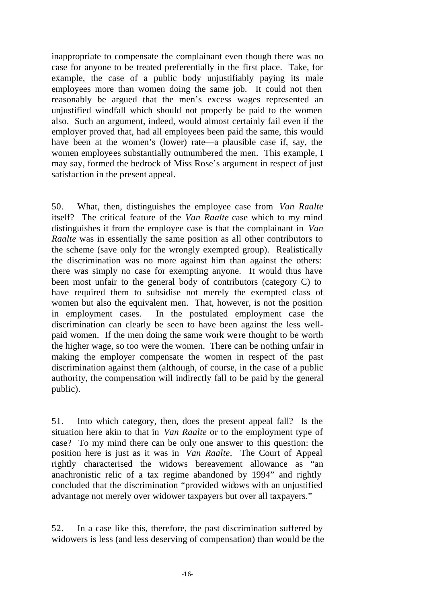inappropriate to compensate the complainant even though there was no case for anyone to be treated preferentially in the first place. Take, for example, the case of a public body unjustifiably paying its male employees more than women doing the same job. It could not then reasonably be argued that the men's excess wages represented an unjustified windfall which should not properly be paid to the women also. Such an argument, indeed, would almost certainly fail even if the employer proved that, had all employees been paid the same, this would have been at the women's (lower) rate—a plausible case if, say, the women employees substantially outnumbered the men. This example, I may say, formed the bedrock of Miss Rose's argument in respect of just satisfaction in the present appeal.

50. What, then, distinguishes the employee case from *Van Raalte* itself? The critical feature of the *Van Raalte* case which to my mind distinguishes it from the employee case is that the complainant in *Van Raalte* was in essentially the same position as all other contributors to the scheme (save only for the wrongly exempted group). Realistically the discrimination was no more against him than against the others: there was simply no case for exempting anyone. It would thus have been most unfair to the general body of contributors (category C) to have required them to subsidise not merely the exempted class of women but also the equivalent men. That, however, is not the position in employment cases. In the postulated employment case the discrimination can clearly be seen to have been against the less wellpaid women. If the men doing the same work we re thought to be worth the higher wage, so too were the women. There can be nothing unfair in making the employer compensate the women in respect of the past discrimination against them (although, of course, in the case of a public authority, the compensation will indirectly fall to be paid by the general public).

51. Into which category, then, does the present appeal fall? Is the situation here akin to that in *Van Raalte* or to the employment type of case? To my mind there can be only one answer to this question: the position here is just as it was in *Van Raalte*. The Court of Appeal rightly characterised the widows bereavement allowance as "an anachronistic relic of a tax regime abandoned by 1994" and rightly concluded that the discrimination "provided widows with an unjustified advantage not merely over widower taxpayers but over all taxpayers."

52. In a case like this, therefore, the past discrimination suffered by widowers is less (and less deserving of compensation) than would be the